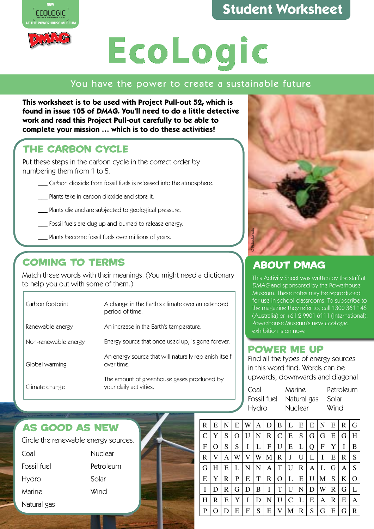## **Student Worksheet Student Worksheet**





#### You have the power to create a sustainable future

**This worksheet is to be used with Project Pull-out 52, which is found in issue 105 of DMAG. You'll need to do a little detective work and read this Project Pull-out carefully to be able to complete your mission … which is to do these activities!**

#### THE CARBON CYCLE

Put these steps in the carbon cycle in the correct order by numbering them from 1 to 5.

- Carbon dioxide from fossil fuels is released into the atmosphere.
- \_\_\_ Plants take in carbon dioxide and store it.
- \_\_\_ Plants die and are subjected to geological pressure.
- \_\_\_ Fossil fuels are dug up and burned to release energy.
- \_\_\_ Plants become fossil fuels over millions of years.

#### COMING TO TERMS

Match these words with their meanings. (You might need a dictionary to help you out with some of them.)

| Carbon footprint     | A change in the Earth's climate over an extended<br>period of time.  |
|----------------------|----------------------------------------------------------------------|
| Renewable energy     | An increase in the Earth's temperature.                              |
| Non-renewable energy | Energy source that once used up, is gone forever.                    |
| Global warming       | An energy source that will naturally replenish itself<br>over time.  |
| Climate change       | The amount of greenhouse gases produced by<br>your daily activities. |
|                      |                                                                      |



#### ABOUT DMAG

This Activity Sheet was written by the staff at DMAG and sponsored by the Powerhouse Museum. These notes may be reproduced for use in school classrooms. To subscribe to the magazine they refer to, call 1300 361 146 (Australia) or +61 2 9901 6111 (International). Powerhouse Museum's new EcoLogic exhibition is on now.

#### POWER ME UP

Find all the types of energy sources in this word find. Words can be upwards, downwards and diagonal.

| Coal  | Marine                        | Petroleum |
|-------|-------------------------------|-----------|
|       | Fossil fuel Natural gas Solar |           |
| Hydro | Nuclear                       | Wind      |

#### AS GOOD AS NEW

| Circle the renewable energy sources. |           |  |  |  |
|--------------------------------------|-----------|--|--|--|
| Coal                                 | Nuclear   |  |  |  |
| Fossil fuel                          | Petroleum |  |  |  |
| <b>Hydro</b>                         | Solar     |  |  |  |
| Marine                               | Wind      |  |  |  |
| Natural gas                          |           |  |  |  |



| R             | Е | N | Е | W | Α | D | В | L | E | E | N | Е | R | G |
|---------------|---|---|---|---|---|---|---|---|---|---|---|---|---|---|
| $\mathcal{C}$ | Y | S | O |   | N | R | C | E | S | G | G | E | G | Η |
| $\mathbf{F}$  | O | S | S | Ι | L | F | U | E | L | Q | F | Y | I | B |
| R             | V | Α | W |   | W | М | R | J | U | L | I | E | R | S |
| G             | Н | E | L | N | N | Α | T | U | R | Α | L | G | Α | S |
| E             | Y | R | P | Е | T | R | Ő | L | E | U | М | S | K | O |
| I             | D | R | G | D | B | I | T | U | N | D | W | R | G | L |
| H             | R | Е | Y | I | D | N | U | C | L | E | Α | R | E | Α |
| P             |   | D | Е | F | S | E | V | М | R | S | G | E | G | R |